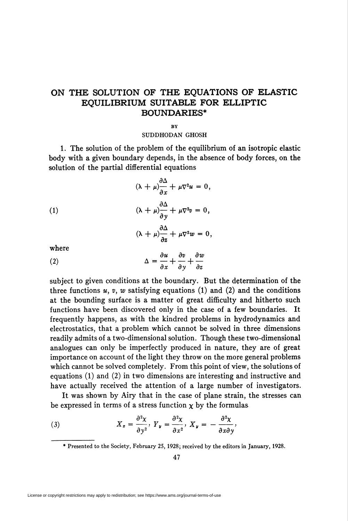## ON THE SOLUTION OF THE EQUATIONS OF ELASTIC EQUILIBRIUM SUITABLE FOR ELLIPTIC BOUNDARIES\*

## **RV**

## SUDDHODAN GHOSH

1. The solution of the problem of the equilibrium of an isotropic elastic body with a given boundary depends, in the absence of body forces, on the solution of the partial differential equations

 $\partial \Delta$  $(\lambda + \mu)^{-}_{\partial x} + \mu \nabla^2 u = 0,$  $(\lambda + \mu) \frac{\partial \Delta}{\partial y} + \mu \nabla^2 v = 0,$  $\partial \Delta$  $(\lambda + \mu)$   $\frac{\partial}{\partial z} + \mu \nabla^2 w = 0$ (1)

where

(2) 
$$
\Delta = \frac{\partial u}{\partial x} + \frac{\partial v}{\partial y} + \frac{\partial w}{\partial z}
$$

subject to given conditions at the boundary. But the determination of the three functions  $u, v, w$  satisfying equations (1) and (2) and the conditions at the bounding surface is a matter of great difficulty and hitherto such functions have been discovered only in the case of a few boundaries. It frequently happens, as with the kindred problems in hydrodynamics and electrostatics, that a problem which cannot be solved in three dimensions readily admits of a two-dimensional solution. Though these two-dimensional analogues can only be imperfectly produced in nature, they are of great importance on account of the light they throw on the more general problems which cannot be solved completely. From this point of view, the solutions of equations (1) and (2) in two dimensions are interesting and instructive and have actually received the attention of a large number of investigators.

It was shown by Airy that in the case of plane strain, the stresses can be expressed in terms of a stress function  $x$  by the formulas

(3) 
$$
X_x = \frac{\partial^2 X}{\partial y^2}, \ Y_y = \frac{\partial^2 X}{\partial x^2}, \ X_y = -\frac{\partial^2 X}{\partial x \partial y},
$$

<sup>\*</sup> Presented to the Society, February 25, 1928; received by the editors in January, 1928.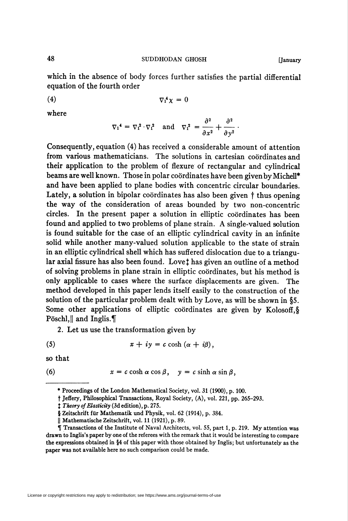which in the absence of body forces further satisfies the partial differential equation of the fourth order

$$
\nabla_1^4 \chi = 0
$$

where

$$
\nabla_1^4 = \nabla_1^2 \cdot \nabla_1^2 \quad \text{and} \quad \nabla_1^2 = \frac{\partial^2}{\partial x^2} + \frac{\partial^2}{\partial y^2}.
$$

Consequently, equation (4) has received a considerable amount of attention from various mathematicians. The solutions in cartesian coordinates and their application to the problem of flexure of rectangular and cylindrical beams are well known. Those in polar coördinates have been given by Michell\* and have been applied to plane bodies with concentric circular boundaries. Lately, a solution in bipolar coördinates has also been given  $\dagger$  thus opening the way of the consideration of areas bounded by two non-concentric circles. In the present paper a solution in elliptic coordinates has been found and applied to two problems of plane strain. A single-valued solution is found suitable for the case of an elliptic cylindrical cavity in an infinite solid while another many-valued solution applicable to the state of strain in an elliptic cylindrical shell which has suffered dislocation due to a triangular axial fissure has also been found. Lovet has given an outline of a method of solving problems in plane strain in elliptic coordinates, but his method is only applicable to cases where the surface displacements are given. The method developed in this paper lends itself easily to the construction of the solution of the particular problem dealt with by Love, as will be shown in §5. Some other applications of elliptic coordinates are given by Kolosoff, § Pöschl, and Inglis.

2. Let us use the transformation given by

(5) 
$$
x + iy = c \cosh(\alpha + i\beta),
$$

so that

(6) 
$$
x = c \cosh \alpha \cos \beta
$$
,  $y = c \sinh \alpha \sin \beta$ ,

<sup>\*</sup> Proceedings of the London Mathematical Society, vol. 31 (1900), p. 100.

t Jeffery, Philosophical Transactions, Royal Society, (A), vol. 221, pp. 265-293.

 $\ddagger$  Theory of Elasticity (3d edition), p. 275.

<sup>§</sup> Zeitschrift für Mathematik und Physik, vol. 62 (1914), p. 384.

<sup>||</sup> Mathematische Zeitschrift, vol. 11 (1921), p. 89.

 $\tilde{\P}$  Transactions of the Institute of Naval Architects, vol. 55, part 1, p. 219. My attention was drawn to Inglis's paper by one of the referees with the remark that it would be interesting to compare the expressions obtained in §4 of this paper with those obtained by Inglis; but unfortunately as the paper was not available here no such comparison could be made.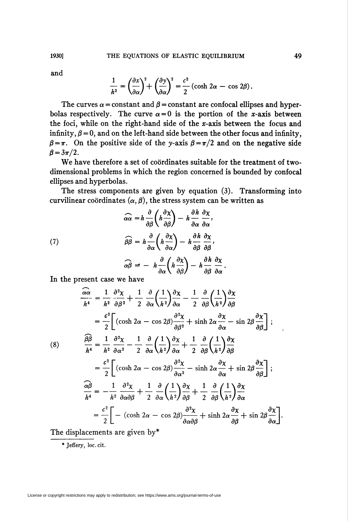and

$$
\frac{1}{h^2} = \left(\frac{\partial x}{\partial \alpha}\right)^2 + \left(\frac{\partial y}{\partial \alpha}\right)^2 = \frac{c^2}{2} \left(\cosh 2\alpha - \cos 2\beta\right).
$$

The curves  $\alpha$  = constant and  $\beta$  = constant are confocal ellipses and hyperbolas respectively. The curve  $\alpha = 0$  is the portion of the x-axis between the foci, while on the right-hand side of the  $x$ -axis between the focus and infinity,  $\beta = 0$ , and on the left-hand side between the other focus and infinity,  $\beta = \pi$ . On the positive side of the y-axis  $\beta = \pi/2$  and on the negative side  $\beta = 3\pi/2$ .

We have therefore a set of coördinates suitable for the treatment of twodimensional problems in which the region concerned is bounded by confocal ellipses and hyperbolas.

The stress components are given by equation (3). Transforming into curvilinear coordinates  $(\alpha, \beta)$ , the stress system can be written as

 $\sim$ 

(7)  
\n
$$
\widehat{\alpha \alpha} = h \frac{\partial}{\partial \beta} \left( h \frac{\partial \chi}{\partial \beta} \right) - h \frac{\partial h}{\partial \alpha} \frac{\partial \chi}{\partial \alpha},
$$
\n
$$
\widehat{\beta \beta} = h \frac{\partial}{\partial \alpha} \left( h \frac{\partial \chi}{\partial \alpha} \right) - h \frac{\partial h}{\partial \beta} \frac{\partial \chi}{\partial \beta},
$$
\n
$$
\widehat{\alpha \beta} = - h \frac{\partial}{\partial \alpha} \left( h \frac{\partial \chi}{\partial \beta} \right) - h \frac{\partial h}{\partial \beta} \frac{\partial \chi}{\partial \alpha}.
$$

In the present case we have

$$
\frac{\partial \alpha}{\partial t} = \frac{1}{h^2} \frac{\partial^2 \chi}{\partial \beta^2} + \frac{1}{2} \frac{\partial}{\partial \alpha} \left(\frac{1}{h^2}\right) \frac{\partial \chi}{\partial \alpha} - \frac{1}{2} \frac{\partial}{\partial \beta} \left(\frac{1}{h^2}\right) \frac{\partial \chi}{\partial \beta}
$$
\n
$$
= \frac{c^2}{2} \left[ (\cosh 2\alpha - \cos 2\beta) \frac{\partial^2 \chi}{\partial \beta^2} + \sinh 2\alpha \frac{\partial \chi}{\partial \alpha} - \sin 2\beta \frac{\partial \chi}{\partial \beta} \right];
$$
\n(8)\n
$$
\frac{\partial \beta}{h^4} = \frac{1}{h^2} \frac{\partial^2 \chi}{\partial \alpha^2} - \frac{1}{2} \frac{\partial}{\partial \alpha} \left(\frac{1}{h^2}\right) \frac{\partial \chi}{\partial \alpha} + \frac{1}{2} \frac{\partial}{\partial \beta} \left(\frac{1}{h^2}\right) \frac{\partial \chi}{\partial \beta}
$$
\n
$$
= \frac{c^2}{2} \left[ (\cosh 2\alpha - \cos 2\beta) \frac{\partial^2 \chi}{\partial \alpha^2} - \sinh 2\alpha \frac{\partial \chi}{\partial \alpha} + \sin 2\beta \frac{\partial \chi}{\partial \beta} \right];
$$
\n
$$
\frac{\partial \beta}{h^4} = -\frac{1}{h^2} \frac{\partial^2 \chi}{\partial \alpha \partial \beta} + \frac{1}{2} \frac{\partial}{\partial \alpha} \left(\frac{1}{h^2}\right) \frac{\partial \chi}{\partial \beta} + \frac{1}{2} \frac{\partial}{\partial \beta} \left(\frac{1}{h^2}\right) \frac{\partial \chi}{\partial \alpha}
$$
\n
$$
= \frac{c^2}{2} \left[ - (\cosh 2\alpha - \cos 2\beta) \frac{\partial^2 \chi}{\partial \alpha \partial \beta} + \sinh 2\alpha \frac{\partial \chi}{\partial \beta} + \sin 2\beta \frac{\partial \chi}{\partial \alpha} \right].
$$

The displacements are given by\*

\* Jeffery, Ioc. cit.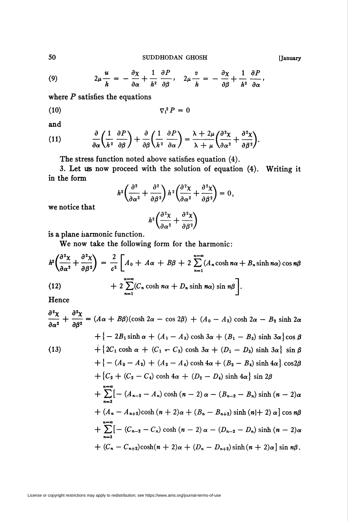SUDDHODAN GHOSH

(9) 
$$
2\mu \frac{u}{h} = -\frac{\partial \chi}{\partial \alpha} + \frac{1}{h^2} \frac{\partial P}{\partial \beta}, \quad 2\mu \frac{v}{h} = -\frac{\partial \chi}{\partial \beta} + \frac{1}{h^2} \frac{\partial P}{\partial \alpha},
$$

where  $P$  satisfies the equations

$$
\nabla_1^2 P = 0
$$

and

(11) 
$$
\frac{\partial}{\partial \alpha} \left( \frac{1}{h^2} \frac{\partial P}{\partial \beta} \right) + \frac{\partial}{\partial \beta} \left( \frac{1}{h^2} \frac{\partial P}{\partial \alpha} \right) = \frac{\lambda + 2\mu}{\lambda + \mu} \left( \frac{\partial^2 \chi}{\partial \alpha^2} + \frac{\partial^2 \chi}{\partial \beta^2} \right).
$$

The stress function noted above satisfies equation (4).

3. Let us now proceed with the solution of equation (4). Writing it in the form

$$
h^2 \left( \frac{\partial^2}{\partial \alpha^2} + \frac{\partial^2}{\partial \beta^2} \right) h^2 \left( \frac{\partial^2 \chi}{\partial \alpha^2} + \frac{\partial^2 \chi}{\partial \beta^2} \right) = 0,
$$

we notice that

$$
h^2 \bigg(\frac{\partial^2 \chi}{\partial \alpha^2} + \frac{\partial^2 \chi}{\partial \beta^2}\bigg)
$$

is a plane harmonic function.

We now take the following form for the harmonic:

$$
h^{2}\left(\frac{\partial^{2} \chi}{\partial \alpha^{2}} + \frac{\partial^{2} \chi}{\partial \beta^{2}}\right) = \frac{2}{c^{2}} \left[A_{0} + A\alpha + B\beta + 2 \sum_{n=1}^{n=\infty} (A_{n} \cosh n\alpha + B_{n} \sinh n\alpha) \cos n\beta + 2 \sum_{n=1}^{n=\infty} (C_{n} \cosh n\alpha + D_{n} \sinh n\alpha) \sin n\beta\right].
$$

Hence

$$
\frac{\partial^2 \chi}{\partial \alpha^2} + \frac{\partial^2 \chi}{\partial \beta^2} = (A\alpha + B\beta)(\cosh 2\alpha - \cos 2\beta) + (A_0 - A_2)\cosh 2\alpha - B_2\sinh 2\alpha \n+ \{-2B_1\sinh \alpha + (A_1 - A_3)\cosh 3\alpha + (B_1 - B_3)\sinh 3\alpha\}\cos \beta \n+ \{2C_1\cosh \alpha + (C_1 - C_3)\cosh 3\alpha + (D_1 - D_3)\sinh 3\alpha\}\sin \beta \n+ \{-(A_0 - A_2) + (A_2 - A_4)\cosh 4\alpha + (B_2 - B_4)\sinh 4\alpha\}\cos 2\beta \n+ \{C_2 + (C_2 - C_4)\cosh 4\alpha + (D_2 - D_4)\sinh 4\alpha\}\sin 2\beta \n+ \sum_{n=3}^{n=\infty}[-(A_{n-2} - A_n)\cosh (n-2)\alpha - (B_{n-2} - B_n)\sinh (n-2)\alpha \n+ (A_n - A_{n+2})\cosh (n+2)\alpha + (B_n - B_{n+2})\sinh (n|+2)\alpha\}\cos n\beta \n+ \sum_{n=3}^{n=\infty}[-(C_{n-2} - C_n)\cosh (n-2)\alpha - (D_{n-2} - D_n)\sinh (n-2)\alpha \n+ (C_n - C_{n+2})\cosh (n+2)\alpha + (D_n - D_{n+2})\sinh (n+2)\alpha\}\sin n\beta.
$$

License or copyright restrictions may apply to redistribution; see https://www.ams.org/journal-terms-of-use

[January

50

 $\overline{a}$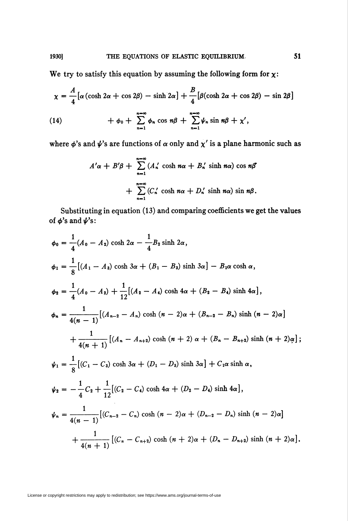We try to satisfy this equation by assuming the following form for  $\chi$ :

$$
\chi = \frac{A}{4} \left[ \alpha \left( \cosh 2\alpha + \cos 2\beta \right) - \sinh 2\alpha \right] + \frac{B}{4} \left[ \beta (\cosh 2\alpha + \cos 2\beta) - \sin 2\beta \right]
$$

(14) 
$$
+\phi_0+\sum_{n=1}^{n=\infty}\phi_n\cos n\beta+\sum_{n=1}^{n=\infty}\psi_n\sin n\beta+\chi',
$$

where  $\phi$ 's and  $\psi$ 's are functions of  $\alpha$  only and  $\chi'$  is a plane harmonic such as

$$
A'\alpha + B'\beta + \sum_{n=1}^{n=\infty} (A'_n \cosh n\alpha + B'_n \sinh n\alpha) \cos n\beta
$$
  
+ 
$$
\sum_{n=1}^{n=\infty} (C'_n \cosh n\alpha + D'_n \sinh n\alpha) \sin n\beta.
$$

Substituting in equation (13) and comparing coefficients we get the values of  $\phi$ 's and  $\psi$ 's:

$$
\phi_0 = \frac{1}{4}(A_0 - A_2) \cosh 2\alpha - \frac{1}{4}B_2 \sinh 2\alpha,
$$
  
\n
$$
\phi_1 = \frac{1}{8}[(A_1 - A_3) \cosh 3\alpha + (B_1 - B_3) \sinh 3\alpha] - B_1\alpha \cosh \alpha,
$$
  
\n
$$
\phi_2 = \frac{1}{4}(A_0 - A_2) + \frac{1}{12}[(A_2 - A_4) \cosh 4\alpha + (B_2 - B_4) \sinh 4\alpha],
$$
  
\n
$$
\phi_n = \frac{1}{4(n-1)}[(A_{n-2} - A_n) \cosh (n-2)\alpha + (B_{n-2} - B_n) \sinh (n-2)\alpha]
$$
  
\n
$$
+ \frac{1}{4(n+1)}[(A_n - A_{n+2}) \cosh (n+2)\alpha + (B_n - B_{n+2}) \sinh (n+2)\alpha];
$$
  
\n
$$
\psi_1 = \frac{1}{8}[(C_1 - C_3) \cosh 3\alpha + (D_1 - D_3) \sinh 3\alpha] + C_1\alpha \sinh \alpha,
$$
  
\n
$$
\psi_2 = -\frac{1}{4}C_2 + \frac{1}{12}[(C_2 - C_4) \cosh 4\alpha + (D_2 - D_4) \sinh 4\alpha],
$$
  
\n
$$
\psi_n = \frac{1}{4(n-1)}[(C_{n-2} - C_n) \cosh (n-2)\alpha + (D_{n-2} - D_n) \sinh (n-2)\alpha]
$$
  
\n
$$
+ \frac{1}{4(n+1)}[(C_n - C_{n+2}) \cosh (n+2)\alpha + (D_n - D_{n+2}) \sinh (n+2)\alpha].
$$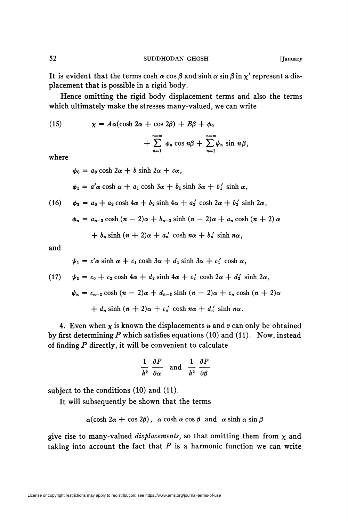It is evident that the terms cosh  $\alpha$  cos  $\beta$  and sinh  $\alpha$  sin  $\beta$  in  $\chi'$  represent a displacement that is possible in a rigid body.

Hence omitting the rigid body displacement terms and also the terms which ultimately make the stresses many-valued, we can write

(15)  $\chi = A\alpha(\cosh 2\alpha + \cos 2\beta) + B\beta + \phi_0$ 

$$
+\sum_{n=1}^{n=\infty}\phi_n\cos n\beta+\sum_{n=1}^{n=\infty}\psi_n\sin n\beta,
$$

where

 $\phi_0 = a_0 \cosh 2\alpha + b \sinh 2\alpha + c\alpha,$  $\phi_1 = a' \alpha \cosh \alpha + a_1 \cosh 3\alpha + b_1 \sinh 3\alpha + b'_1 \sinh \alpha$ ,

(16) 
$$
\phi_2 = a_0 + a_2 \cosh 4\alpha + b_2 \sinh 4\alpha + a'_2 \cosh 2\alpha + b'_2 \sinh 2\alpha,
$$

$$
\phi_n = a_{n-2} \cosh (n-2)\alpha + b_{n-2} \sinh (n-2)\alpha + a_n \cosh (n+2)\alpha
$$

$$
+ b_n \sinh (n + 2)\alpha + a'_n \cosh n\alpha + b'_n \sinh n\alpha,
$$

and

$$
\psi_1 = c' \alpha \sinh \alpha + c_1 \cosh 3\alpha + d_1 \sinh 3\alpha + c'_1 \cosh \alpha
$$

(17) 
$$
\psi_2 = c_0 + c_2 \cosh 4\alpha + d_2 \sinh 4\alpha + c'_2 \cosh 2\alpha + d'_2 \sinh 2\alpha,
$$

$$
\psi_n = c_{n-2} \cosh (n-2)\alpha + d_{n-2} \sinh (n-2)\alpha + c_n \cosh (n+2)\alpha
$$
  
+ 
$$
d_n \sinh (n+2)\alpha + c'_n \cosh n\alpha + d'_n \sinh n\alpha.
$$

4. Even when  $\chi$  is known the displacements u and v can only be obtained by first determining P which satisfies equations (10) and (11). Now, instead of finding  $P$  directly, it will be convenient to calculate

$$
\frac{1}{h^2} \frac{\partial P}{\partial \alpha} \quad \text{and} \quad \frac{1}{h^2} \frac{\partial P}{\partial \beta}
$$

subject to the conditions (10) and (11).

It will subsequently be shown that the terms

$$
\alpha(\cosh 2\alpha + \cos 2\beta), \alpha \cosh \alpha \cos \beta
$$
 and  $\alpha \sinh \alpha \sin \beta$ 

give rise to many-valued *displacements*, so that omitting them from  $\chi$  and taking into account the fact that  $P$  is a harmonic function we can write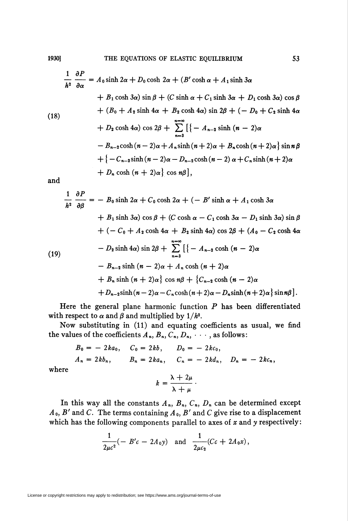$$
\frac{1}{h^2} \frac{\partial P}{\partial \alpha} = A_0 \sinh 2\alpha + D_0 \cosh 2\alpha + (B' \cosh \alpha + A_1 \sinh 3\alpha
$$
  
+  $B_1 \cosh 3\alpha$ )  $\sin \beta + (C \sinh \alpha + C_1 \sinh 3\alpha + D_1 \cosh 3\alpha) \cos \beta$   
+  $(B_0 + A_2 \sinh 4\alpha + B_2 \cosh 4\alpha) \sin 2\beta + (-D_0 + C_2 \sinh 4\alpha + D_2 \cosh 4\alpha) \cos 2\beta + \sum_{n=3}^{n=\infty} \left[ \{-A_{n-2} \sinh (n-2)\alpha$   
-  $B_{n-2} \cosh (n-2)\alpha + A_n \sinh (n+2)\alpha + B_n \cosh (n+2)\alpha \right\} \sin n\beta$   
+  $\{-C_{n-2} \sinh (n-2)\alpha - D_{n-2} \cosh (n-2)\alpha + C_n \sinh (n+2)\alpha$   
+  $D_n \cosh (n+2)\alpha \right],$ 

and

$$
\frac{1}{h^2} \frac{\partial P}{\partial \beta} = -B_0 \sinh 2\alpha + C_0 \cosh 2\alpha + (-B' \sinh \alpha + A_1 \cosh 3\alpha
$$
  
+ B<sub>1</sub> sinh 3\alpha) cos β + (C cosh α - C<sub>1</sub> cosh 3\alpha - D<sub>1</sub> sinh 3\alpha) sin β  
+ (- C<sub>0</sub> + A<sub>2</sub> cosh 4\alpha + B<sub>2</sub> sinh 4\alpha) cos 2β + (A<sub>0</sub> - C<sub>2</sub> cosh 4\alpha  
- D<sub>2</sub> sinh 4\alpha) sin 2β +  $\sum_{n=3}^{n=\infty}$  [{- A<sub>n-2</sub> cosh (n - 2)\alpha  
- B<sub>n-2</sub> sinh (n - 2)\alpha + A<sub>n</sub> cosh (n + 2)\alpha  
+ B<sub>n</sub> sinh (n + 2)\alpha} cos nβ + {C<sub>n-2</sub> cosh (n - 2)\alpha  
+ D<sub>n-2</sub> sinh (n - 2)\alpha - C<sub>n</sub> cosh (n + 2)\alpha - D<sub>n</sub> sinh (n + 2)\alpha} sin nβ].

Here the general plane harmonic function  $P$  has been differentiated with respect to  $\alpha$  and  $\beta$  and multiplied by  $1/h^2$ .

Now substituting in (11) and equating coefficients as usual, we find the values of the coefficients  $A_n$ ,  $B_n$ ,  $C_n$ ,  $D_n$ ,  $\cdots$ , as follows:

$$
B_0 = -2ka_0
$$
,  $C_0 = 2kb$ ,  $D_0 = -2kc_0$ ,  
\n $A_n = 2kb_n$ ,  $B_n = 2ka_n$ ,  $C_n = -2kd_n$ ,  $D_n = -2kc_n$ ,  
\n $b = \frac{\lambda + 2\mu}{\lambda + 2\mu}$ 

where

$$
k = \frac{\lambda + 2\mu}{\lambda + \mu}
$$

In this way all the constants  $A_n$ ,  $B_n$ ,  $C_n$ ,  $D_n$  can be determined except  $A_0$ ,  $B'$  and C. The terms containing  $A_0$ ,  $B'$  and C give rise to a displacement which has the following components parallel to axes of  $x$  and  $y$  respectively:

$$
\frac{1}{2\mu c^2}(-B'c - 2A_0y) \text{ and } \frac{1}{2\mu c_2}(Cc + 2A_0x),
$$

License or copyright restrictions may apply to redistribution; see https://www.ams.org/journal-terms-of-use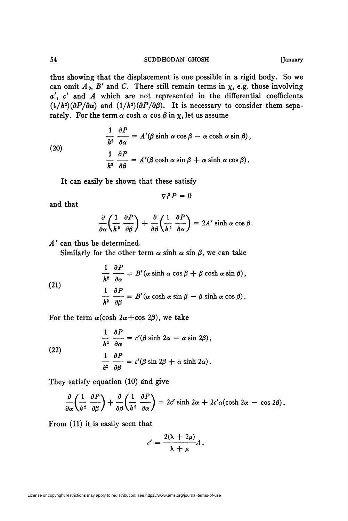thus showing that the displacement is one possible in a rigid body. So we can omit  $A_0$ ,  $B'$  and  $C$ . There still remain terms in  $\chi$ , e.g. those involving  $a'$ ,  $c'$  and  $A$  which are not represented in the differential coefficients  $(1/h^2)(\partial P/\partial \alpha)$  and  $(1/h^2)(\partial P/\partial \beta)$ . It is necessary to consider them separately. For the term  $\alpha$  cosh  $\alpha$  cos  $\beta$  in  $\chi$ , let us assume

(20)  
\n
$$
\frac{1}{h^2} \frac{\partial P}{\partial \alpha} = A'(\beta \sinh \alpha \cos \beta - \alpha \cosh \alpha \sin \beta),
$$
\n
$$
\frac{1}{h^2} \frac{\partial P}{\partial \beta} = A'(\beta \cosh \alpha \sin \beta + \alpha \sinh \alpha \cos \beta).
$$

It can easily be shown that these satisfy

$$
\nabla_1^2 P = 0
$$

and that

$$
\frac{\partial}{\partial \alpha} \left( \frac{1}{h^2} \frac{\partial P}{\partial \beta} \right) + \frac{\partial}{\partial \beta} \left( \frac{1}{h^2} \frac{\partial P}{\partial \alpha} \right) = 2A' \sinh \alpha \cos \beta.
$$

A' can thus be determined.

Similarly for the other term  $\alpha$  sinh  $\alpha$  sin  $\beta$ , we can take

(21)  
\n
$$
\frac{1}{h^2} \frac{\partial P}{\partial \alpha} = B'(\alpha \sinh \alpha \cos \beta + \beta \cosh \alpha \sin \beta),
$$
\n
$$
\frac{1}{h^2} \frac{\partial P}{\partial \beta} = B'(\alpha \cosh \alpha \sin \beta - \beta \sinh \alpha \cos \beta).
$$

For the term  $\alpha(\cosh 2\alpha + \cos 2\beta)$ , we take

(22)  
\n
$$
\frac{1}{h^2} \frac{\partial P}{\partial \alpha} = c'(\beta \sinh 2\alpha - \alpha \sin 2\beta),
$$
\n
$$
\frac{1}{h^2} \frac{\partial P}{\partial \beta} = c'(\beta \sin 2\beta + \alpha \sinh 2\alpha).
$$

They satisfy equation (10) and give

$$
\frac{\partial}{\partial \alpha} \left( \frac{1}{h^2} \frac{\partial P}{\partial \beta} \right) + \frac{\partial}{\partial \beta} \left( \frac{1}{h^2} \frac{\partial P}{\partial \alpha} \right) = 2c' \sinh 2\alpha + 2c' \alpha (\cosh 2\alpha - \cos 2\beta).
$$

From (11) it is easily seen that

$$
c'=\frac{2(\lambda+2\mu)}{\lambda+\mu}A.
$$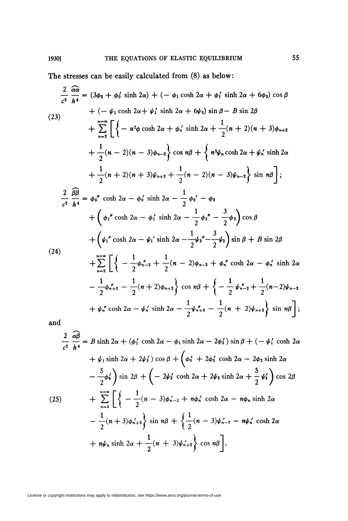The stresses can be easily calculated from (8) as below:

$$
\frac{2}{c^2} \frac{\partial \alpha}{h^4} = (3\phi_2 + \phi_0' \sinh 2\alpha) + (-\phi_1 \cosh 2\alpha + \phi_1' \sinh 2\alpha + 6\phi_3) \cos \beta
$$
  
+ (-\psi\_1 \cosh 2\alpha + \psi\_1' \sinh 2\alpha + 6\psi\_3) \sin \beta - B \sin 2\beta  
+ \sum\_{n=2}^{n=2} \left[ \left\{ -n^2\phi \cosh 2\alpha + \phi\_n' \sinh 2\alpha + \frac{1}{2}(n+2)(n+3)\phi\_{n+2} + \frac{1}{2}(n-2)(n-3)\phi\_{n-2} \right\} \cos n\beta + \left\{ n^2\psi\_n \cosh 2\alpha + \psi\_n' \sinh 2\alpha + \frac{1}{2}(n+2)(n+3)\psi\_{n+2} + \frac{1}{2}(n-2)(n-3)\psi\_{n-2} \right\} \sin n\beta \right];  

$$
\frac{2}{c^2} \frac{\beta \beta}{h^4} = \phi_0'' \cosh 2\alpha - \phi_0' \sinh 2\alpha - \frac{1}{2}\phi_2' - \phi_2
$$
  
+ (\phi\_1'' \cosh 2\alpha - \phi\_1' \sinh 2\alpha - \frac{1}{2}\phi\_3'' - \frac{3}{2}\phi\_3) \cos \beta  
+ (\psi\_1'' \cosh 2\alpha - \psi\_1' \sinh 2\alpha - \frac{1}{2}\psi\_3'' - \frac{3}{2}\psi\_3) \sin \beta + B \sin 2\beta  
(24)  
+ \sum\_{n=2}^{n=2} \left[ \left\{ -\frac{1}{2}\phi\_{n-2}'' + \frac{1}{2}(n-2)\phi\_{n-2} + \phi\_n'' \cosh 2\alpha - \phi\_n' \sinh 2\alpha - \frac{1}{2}\phi\_{n+2}'' - \frac{1}{2}(n+2)\psi\_{n-2} + \psi\_n'' \cosh 2\alpha - \psi\_n' \sinh 2\alpha - \frac{1}{2}\phi\_{n+2}'' - \frac{1}{2}(n+2)\psi\_{n-2} + \psi\_n'' \cosh 2\alpha - \psi\_n' \sinh 2\alpha - \frac{1}{2}\psi\_{n+2}'' - \frac{1}{2}(n+2)\psi\_{n+2} \right) \sin n\beta \right];and  

$$
\frac
$$

$$
\frac{1}{c^2} h^4 = B \sinh 2\alpha + (\varphi_1 \cosh 2\alpha - \varphi_1 \sinh 2\alpha - 2\varphi_3) \sin \beta + (-\psi_1 \cosh 2\alpha + \psi_1 \sinh 2\alpha + 2\psi_3') \cos \beta + (\varphi_0' + 2\varphi_2' \cosh 2\alpha - 2\varphi_2 \sinh 2\alpha - \frac{5}{2}\varphi_4') \sin 2\beta + (-2\psi_2' \cosh 2\alpha + 2\psi_2 \sinh 2\alpha + \frac{5}{2}\psi_4') \cos 2\beta + \sum_{n=3}^{n=\infty} \left[ \left\{ -\frac{1}{2}(n-3)\varphi_{n-2}' + n\varphi_n' \cosh 2\alpha - n\varphi_n \sinh 2\alpha - \frac{1}{2}(n+3)\varphi_{n+2}' \right\} \sin n\beta + \left\{ \frac{1}{2}(n-3)\psi_{n-2}' - n\psi_n' \cosh 2\alpha + n\psi_n \sinh 2\alpha + \frac{1}{2}(n+3)\psi_{n+2}' \right\} \cos n\beta \right].
$$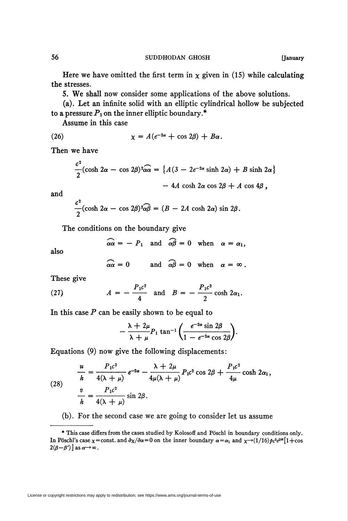Here we have omitted the first term in  $\chi$  given in (15) while calculating the stresses.

5. We shall now consider some applications of the above solutions.

(a). Let an infinite solid with an elliptic cylindrical hollow be subjected to a pressure  $P_1$  on the inner elliptic boundary.\*

Assume in this case

(26) 
$$
\chi = A(e^{-2\alpha} + \cos 2\beta) + B\alpha.
$$

Then we have

$$
\frac{c^2}{2}(\cosh 2\alpha - \cos 2\beta)^2 \alpha \alpha = \{ A(3 - 2e^{-2\alpha} \sinh 2\alpha) + B \sinh 2\alpha \}
$$

$$
- 4A \cosh 2\alpha \cos 2\beta + A \cos 4\beta,
$$

and

$$
\frac{c^2}{2}(\cosh 2\alpha - \cos 2\beta)^2 \widehat{\alpha\beta} = (B - 2A \cosh 2\alpha) \sin 2\beta.
$$

The conditions on the boundary give

$$
\widehat{\alpha\alpha} = - P_1 \quad \text{and} \quad \widehat{\alpha\beta} = 0 \quad \text{when} \quad \alpha = \alpha_1,
$$

also

$$
\widehat{\alpha\alpha}=0 \quad \text{and} \quad \widehat{\alpha\beta}=0 \quad \text{when} \quad \alpha=\infty.
$$

These give

(27) 
$$
A = -\frac{P_1 c^2}{4}
$$
 and  $B = -\frac{P_1 c^2}{2} \cosh 2\alpha_1$ .

In this case  $P$  can be easily shown to be equal to

$$
-\frac{\lambda+2\mu}{\lambda+\mu}P_1\tan^{-1}\bigg(\frac{e^{-2\alpha}\sin 2\beta}{1-e^{-2\alpha}\cos 2\beta}\bigg).
$$

Equations (9) now give the following displacements:

(28) 
$$
\frac{u}{h} = \frac{P_1 c^2}{4(\lambda + \mu)} e^{-2\alpha} - \frac{\lambda + 2\mu}{4\mu(\lambda + \mu)} P_1 c^2 \cos 2\beta + \frac{P_1 c^2}{4\mu} \cosh 2\alpha_1,
$$

$$
\frac{v}{h} = \frac{P_1 c^2}{4(\lambda + \mu)} \sin 2\beta.
$$

(b). For the second case we are going to consider let us assume

<sup>\*</sup> This case differs from the cases studied by Kolosoff and Pöschl in boundary conditions only. In Pöschl's case  $\chi$  = const. and  $\partial \chi/\partial \alpha$  = 0 on the inner boundary  $\alpha = \alpha_1$  and  $\chi \rightarrow (1/16) \rho c^2 e^{i\alpha} [1 + \cos \alpha]$  $2(\beta-\beta')$ ] as  $\alpha \rightarrow \infty$ .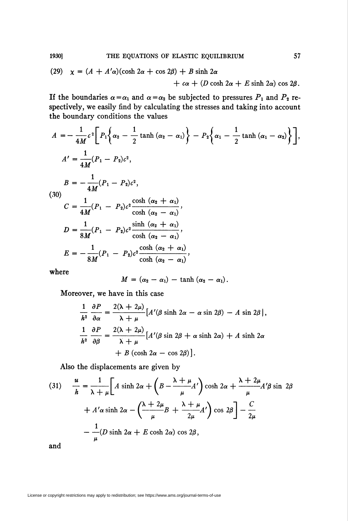(29) 
$$
\chi = (A + A'\alpha)(\cosh 2\alpha + \cos 2\beta) + B \sinh 2\alpha
$$
  
  $+ c\alpha + (D \cosh 2\alpha + E \sinh 2\alpha) \cos 2\beta.$ 

If the boundaries  $\alpha = \alpha_1$  and  $\alpha = \alpha_2$  be subjected to pressures  $P_1$  and  $P_2$  respectively, we easily find by calculating the stresses and taking into account the boundary conditions the values

$$
A = -\frac{1}{4M}c^2 \bigg[ P_1 \bigg\{ \alpha_2 - \frac{1}{2} \tanh (\alpha_2 - \alpha_1) \bigg\} - P_2 \bigg\{ \alpha_1 - \frac{1}{2} \tanh (\alpha_1 - \alpha_2) \bigg\} \bigg],
$$
  
\n
$$
A' = \frac{1}{4M} (P_1 - P_2)c^2,
$$
  
\n
$$
B = -\frac{1}{4M} (P_1 - P_2)c^2,
$$
  
\n(30)  
\n
$$
C = \frac{1}{4M} (P_1 - P_2)c^2 \frac{\cosh (\alpha_2 + \alpha_1)}{\cosh (\alpha_2 - \alpha_1)},
$$
  
\n
$$
D = \frac{1}{8M} (P_1 - P_2)c^2 \frac{\sinh (\alpha_2 + \alpha_1)}{\cosh (\alpha_2 - \alpha_1)},
$$
  
\n
$$
E = -\frac{1}{8M} (P_1 - P_2)c^2 \frac{\cosh (\alpha_2 + \alpha_1)}{\cosh (\alpha_2 - \alpha_1)},
$$
  
\nwhere

$$
M = (\alpha_2 - \alpha_1) - \tanh (\alpha_2 - \alpha_1).
$$

Moreover, we have in this case

$$
\frac{1}{h^2} \frac{\partial P}{\partial \alpha} = \frac{2(\lambda + 2\mu)}{\lambda + \mu} \left[ A'(\beta \sinh 2\alpha - \alpha \sin 2\beta) - A \sin 2\beta \right],
$$
  

$$
\frac{1}{h^2} \frac{\partial P}{\partial \beta} = \frac{2(\lambda + 2\mu)}{\lambda + \mu} \left[ A'(\beta \sin 2\beta + \alpha \sinh 2\alpha) + A \sinh 2\alpha \right]
$$
  

$$
+ B (\cosh 2\alpha - \cos 2\beta) \right].
$$

Also the displacements are given by

(31) 
$$
\frac{u}{h} = \frac{1}{\lambda + \mu} \left[ A \sinh 2\alpha + \left( B - \frac{\lambda + \mu}{\mu} A' \right) \cosh 2\alpha + \frac{\lambda + 2\mu}{\mu} A' \beta \sin 2\beta + A' \alpha \sinh 2\alpha - \left( \frac{\lambda + 2\mu}{\mu} B + \frac{\lambda + \mu}{2\mu} A' \right) \cos 2\beta \right] - \frac{C}{2\mu}
$$

$$
- \frac{1}{\mu} (D \sinh 2\alpha + E \cosh 2\alpha) \cos 2\beta,
$$

and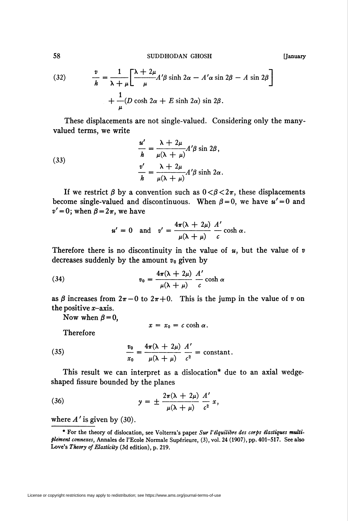SUDDHODAN GHOSH

(32) 
$$
\frac{v}{h} = \frac{1}{\lambda + \mu} \left[ \frac{\lambda + 2\mu}{\mu} A' \beta \sinh 2\alpha - A' \alpha \sin 2\beta - A \sin 2\beta \right] + \frac{1}{\mu} (D \cosh 2\alpha + E \sinh 2\alpha) \sin 2\beta.
$$

These displacements are not single-valued. Considering only the manyvalued terms, we write

(33)  

$$
\frac{u'}{h} = \frac{\lambda + 2\mu}{\mu(\lambda + \mu)} A'\beta \sin 2\beta,
$$

$$
\frac{v'}{h} = \frac{\lambda + 2\mu}{\mu(\lambda + \mu)} A'\beta \sinh 2\alpha.
$$

If we restrict  $\beta$  by a convention such as  $0 < \beta < 2\pi$ , these displacements become single-valued and discontinuous. When  $\beta = 0$ , we have  $u' = 0$  and  $v' = 0$ ; when  $\beta = 2\pi$ , we have

$$
u' = 0
$$
 and  $v' = \frac{4\pi(\lambda + 2\mu)}{\mu(\lambda + \mu)} \frac{A'}{c} \cosh \alpha$ .

Therefore there is no discontinuity in the value of  $u$ , but the value of  $v$ decreases suddenly by the amount  $v_0$  given by

(34) 
$$
v_0 = \frac{4\pi(\lambda + 2\mu)}{\mu(\lambda + \mu)} \frac{A'}{c} \cosh \alpha
$$

as  $\beta$  increases from  $2\pi - 0$  to  $2\pi + 0$ . This is the jump in the value of v on the positive  $x$ -axis.

Now when  $\beta = 0$ ,

$$
x = x_0 = c \cosh \alpha
$$

Therefore

(35) 
$$
\frac{v_0}{x_0} = \frac{4\pi(\lambda + 2\mu)}{\mu(\lambda + \mu)} \frac{A'}{c^2} = \text{constant}.
$$

This result we can interpret as a dislocation\* due to an axial wedgeshaped fissure bounded by the planes

(36) 
$$
y = \pm \frac{2\pi(\lambda + 2\mu)}{\mu(\lambda + \mu)} \frac{A'}{c^2} x,
$$

where  $A'$  is given by (30).

58

[January

<sup>\*</sup> For the theory of dislocation, see Volterra's paper Sur l'élquilibre des corps élastiques multiplement connexes, Annales de l'Ecole Normale Supérieure, (3), vol. 24 (1907), pp. 401-517. See also Love's Theory of Elasticity (3d edition), p. 219.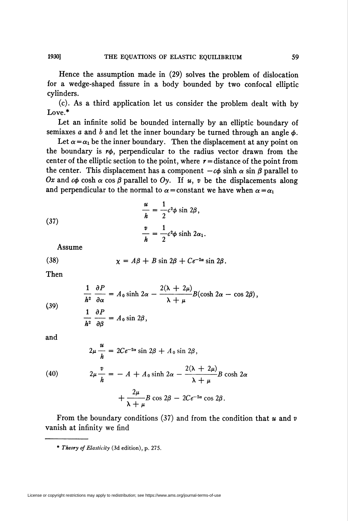Hence the assumption made in (29) solves the problem of dislocation for a wedge-shaped fissure in a body bounded by two confocal elliptic cylinders.

(c). As a third application let us consider the problem dealt with by Love.\*

Let an infinite solid be bounded internally by an elliptic boundary of semiaxes a and b and let the inner boundary be turned through an angle  $\phi$ .

Let  $\alpha = \alpha_1$  be the inner boundary. Then the displacement at any point on the boundary is  $r\phi$ , perpendicular to the radius vector drawn from the center of the elliptic section to the point, where  $r =$  distance of the point from the center. This displacement has a component  $-c\phi$  sinh  $\alpha$  sin  $\beta$  parallel to Ox and  $c\phi$  cosh  $\alpha$  cos  $\beta$  parallel to Oy. If u, v be the displacements along and perpendicular to the normal to  $\alpha$  = constant we have when  $\alpha = \alpha_1$ 

(37) 
$$
\frac{u}{h} = \frac{1}{2}c^2\phi \sin 2\beta,
$$

$$
\frac{v}{h} = \frac{1}{2}c^2\phi \sinh 2\alpha_1.
$$

Assume

(38) 
$$
\chi = A\beta + B\sin 2\beta + Ce^{-2\alpha}\sin 2\beta.
$$

Then

(39)  
\n
$$
\frac{1}{h^2} \frac{\partial P}{\partial \alpha} = A_0 \sinh 2\alpha - \frac{2(\lambda + 2\mu)}{\lambda + \mu} B(\cosh 2\alpha - \cos 2\beta),
$$
\n
$$
\frac{1}{h^2} \frac{\partial P}{\partial \beta} = A_0 \sin 2\beta,
$$

and

(40)  
\n
$$
2\mu \frac{u}{h} = 2Ce^{-2\alpha} \sin 2\beta + A_0 \sin 2\beta,
$$
\n
$$
2\mu \frac{v}{h} = -A + A_0 \sinh 2\alpha - \frac{2(\lambda + 2\mu)}{\lambda + \mu} B \cosh 2\alpha + \frac{2\mu}{\lambda + \mu} B \cos 2\beta - 2Ce^{-2\alpha} \cos 2\beta.
$$

From the boundary conditions (37) and from the condition that  $u$  and  $v$ vanish at infinity we find

\* Theory of Elasticity (3d edition), p. 275.